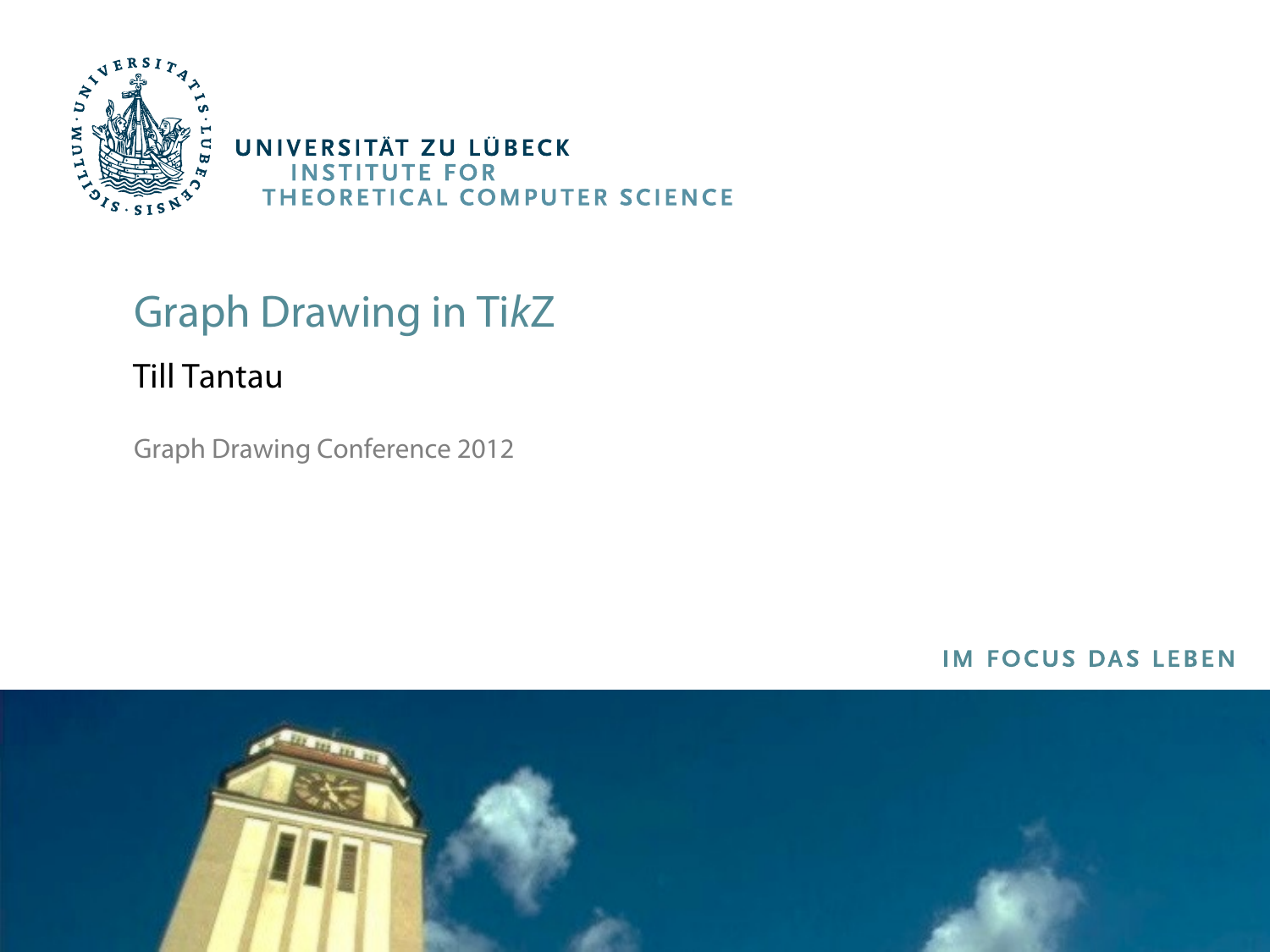

# Graph Drawing in TikZ

#### Till Tantau

Graph Drawing Conference 2012

#### **IM FOCUS DAS LEBEN**

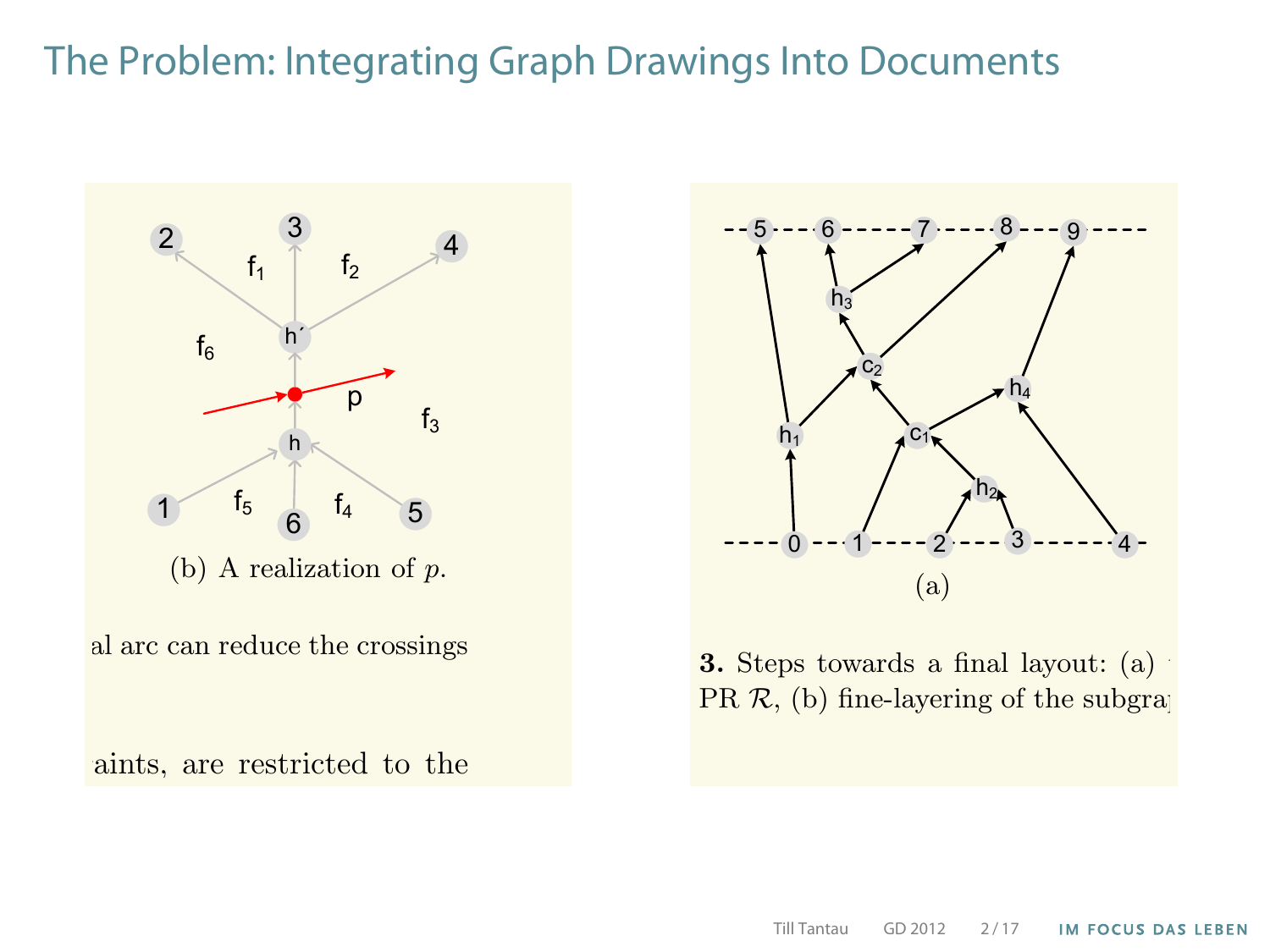#### The Problem: Integrating Graph Drawings Into Documents





**3.** Steps towards a final layout: (a) PR  $R$ , (b) fine-layering of the subgraph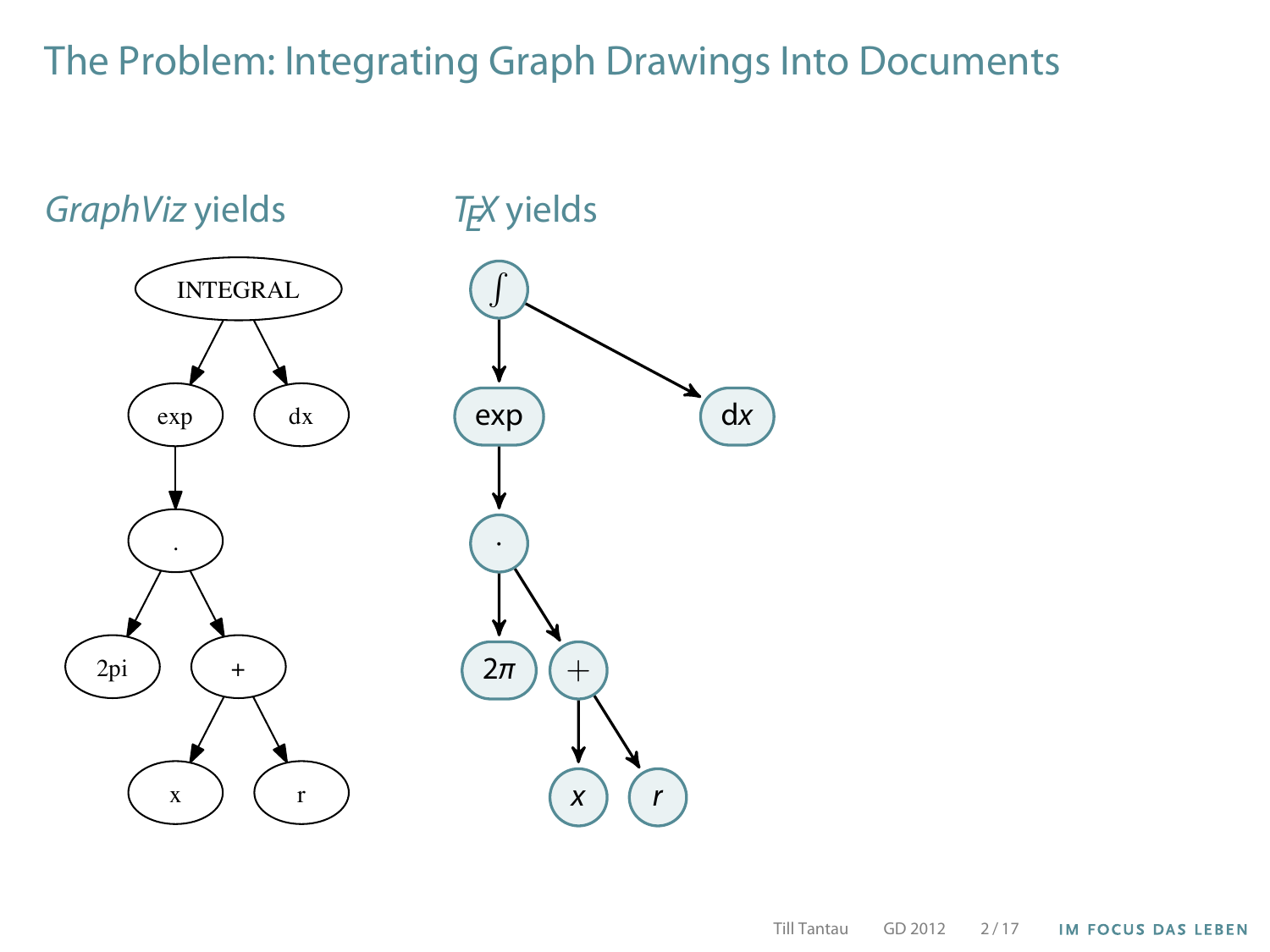# The Problem: Integrating Graph Drawings Into Documents

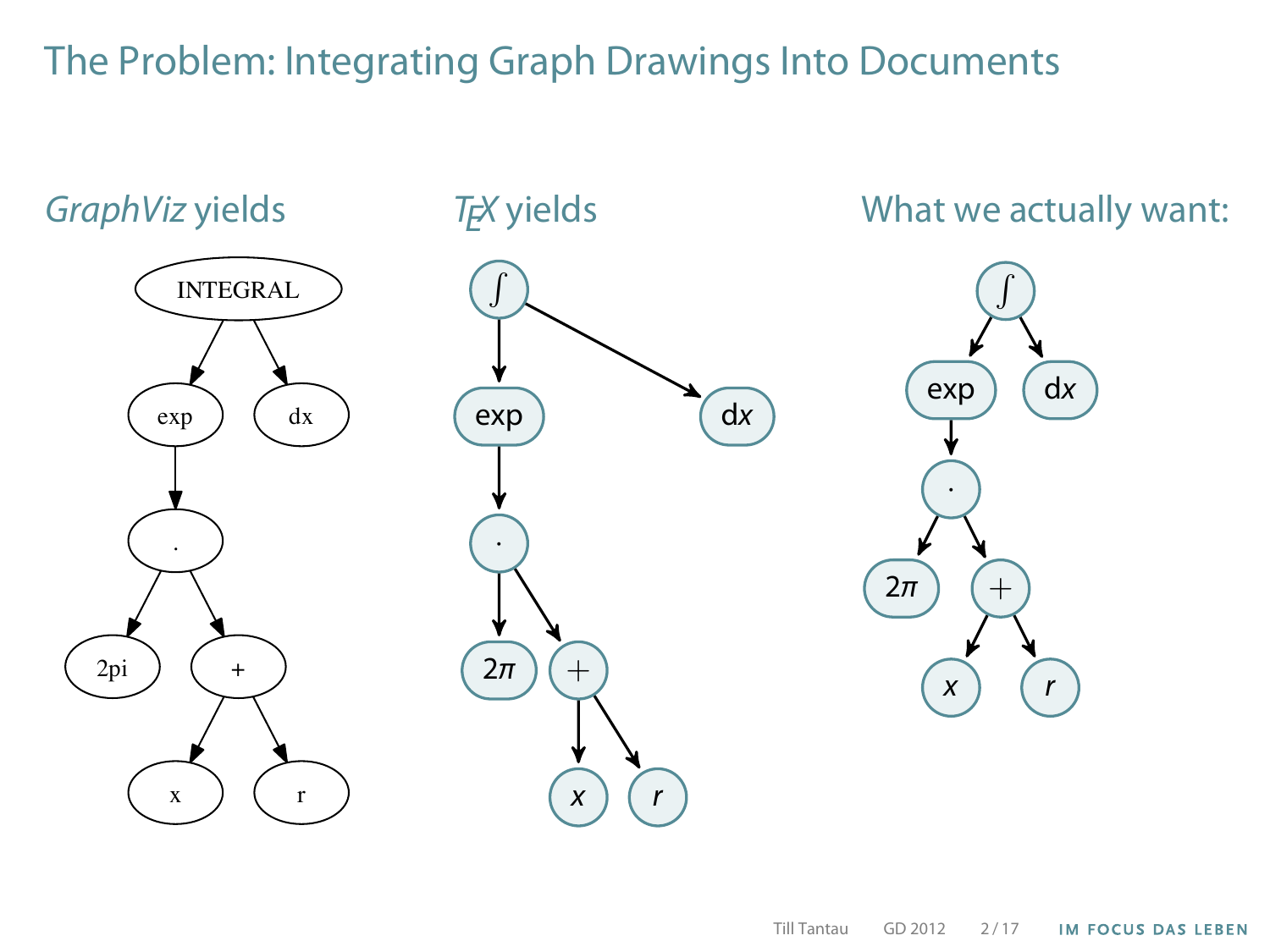#### The Problem: Integrating Graph Drawings Into Documents

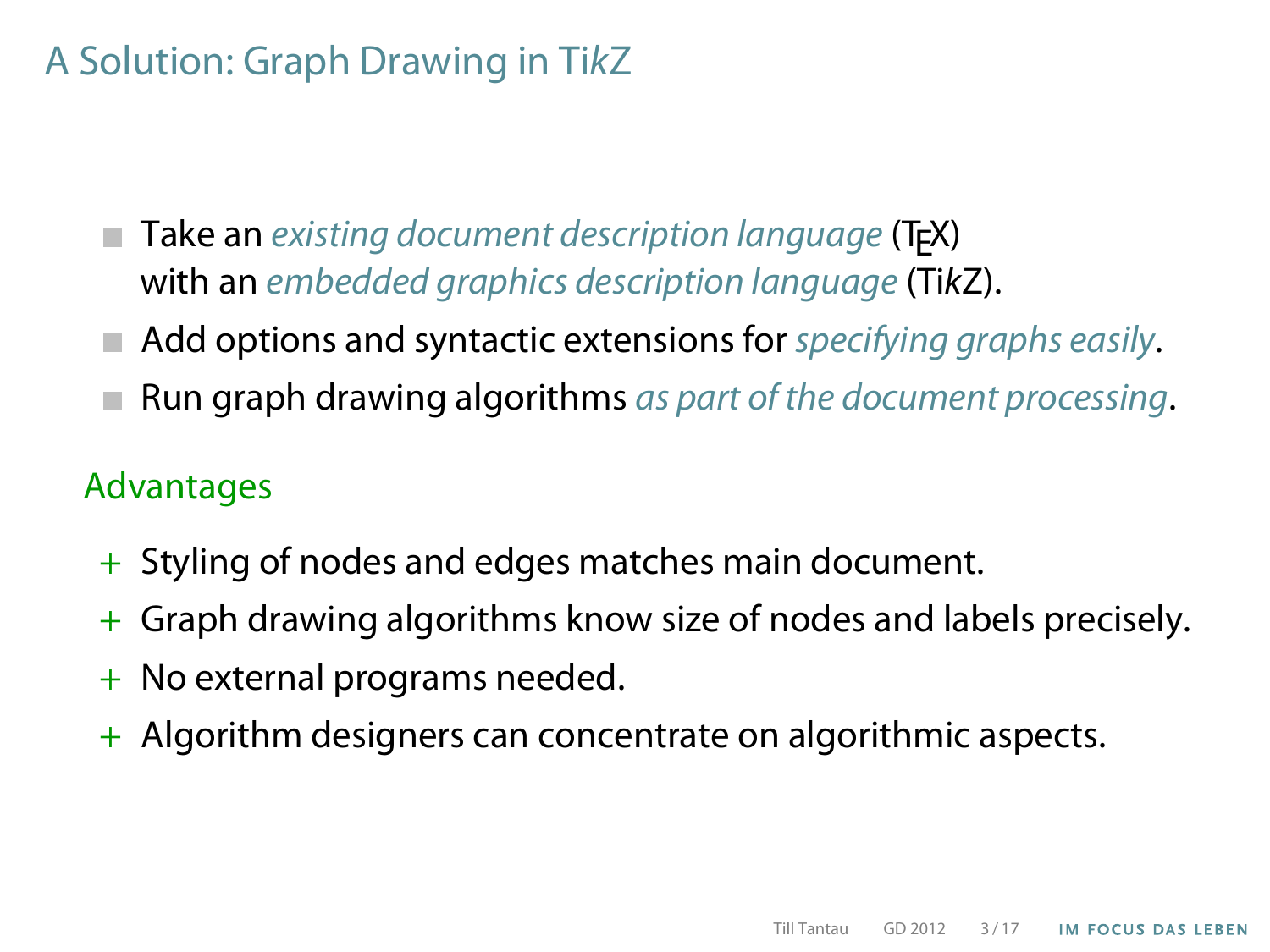# A Solution: Graph Drawing in TikZ

- Take an existing document description language (T<sub>E</sub>X) with an embedded graphics description language (TikZ).
- Add options and syntactic extensions for specifying graphs easily.
- Run graph drawing algorithms as part of the document processing.

#### Advantages

- + Styling of nodes and edges matches main document.
- + Graph drawing algorithms know size of nodes and labels precisely.
- No external programs needed.
- + Algorithm designers can concentrate on algorithmic aspects.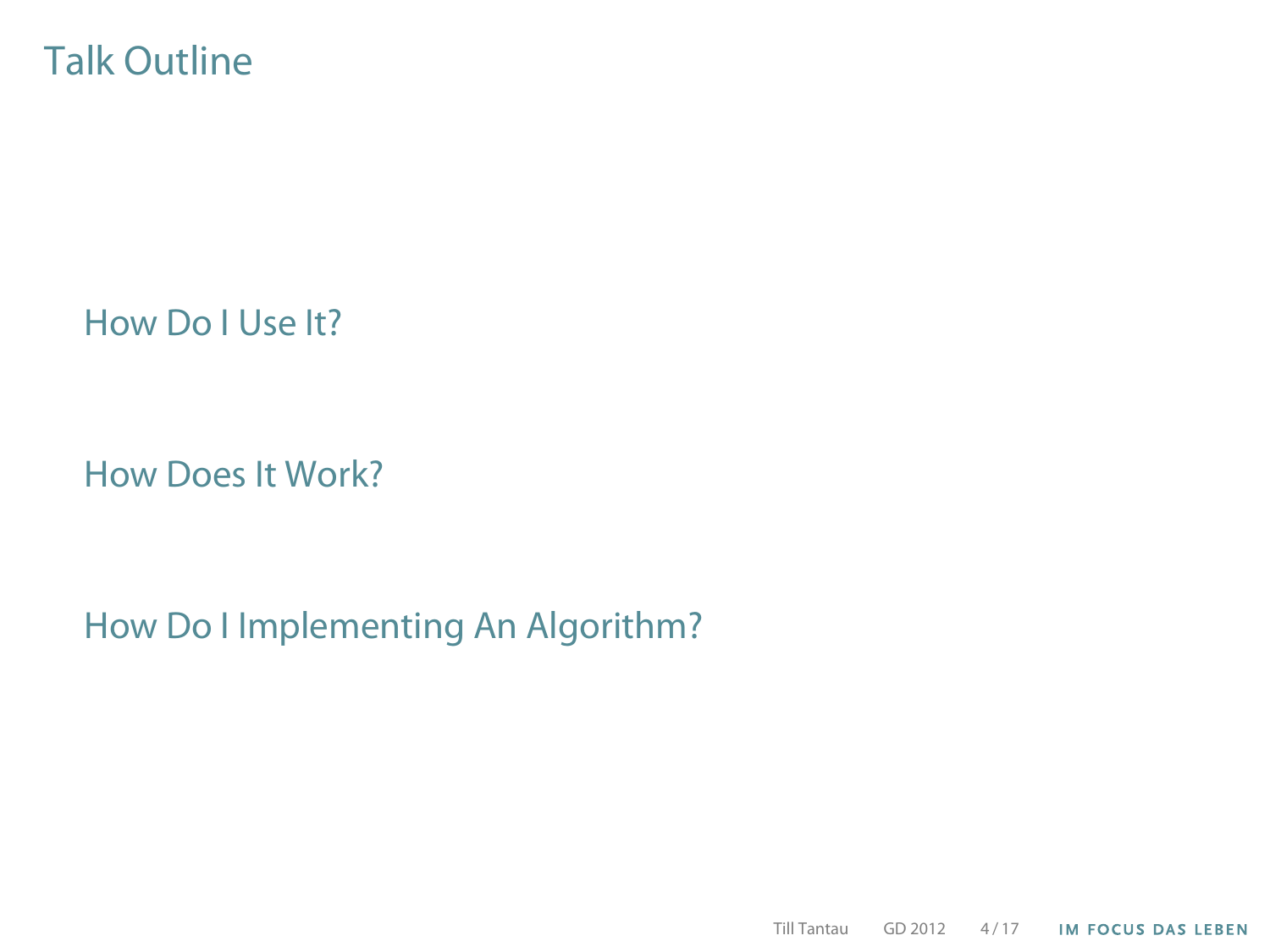#### Talk Outline

[How Do I Use It?](#page-6-0)

[How Does It Work?](#page-15-0)

[How Do I Implementing An Algorithm?](#page-18-0)

Till Tantau GD 2012 4 / 17**IM FOCUS DAS LEBEN**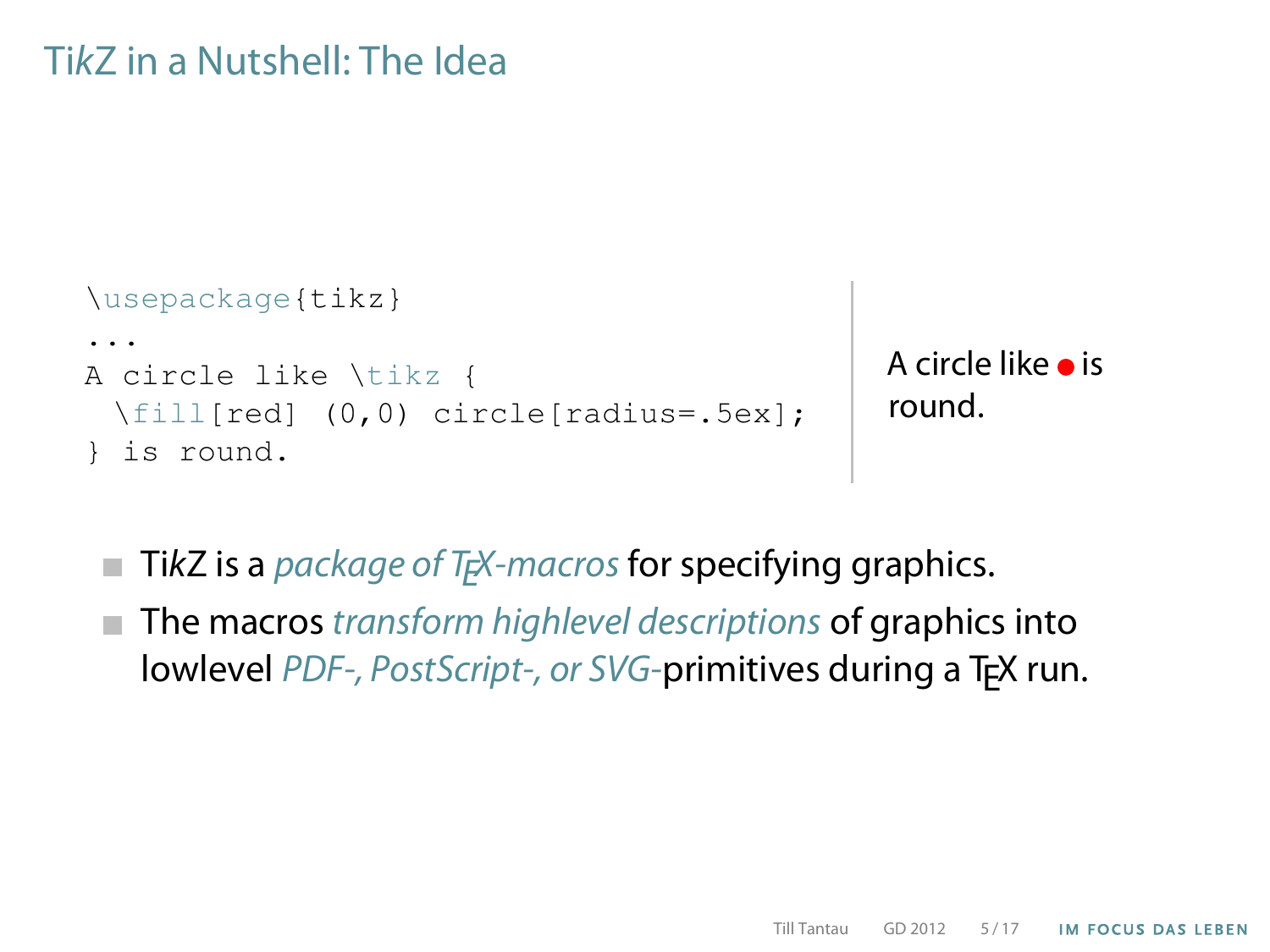#### TikZ in a Nutshell: The Idea

```
\usepackage{tikz}
...
A circle like \tikz {
 \fill[red] (0,0) circle[radius=.5ex];
 is round.
```

```
A circle like \bullet is
round.
```
- $\blacksquare$  TikZ is a *package of T<sub>E</sub>X*-macros for specifying graphics.
- $\blacksquare$  The macros transform highlevel descriptions of graphics into lowlevel PDF-, PostScript-, or SVG-primitives during a T<sub>F</sub>X run.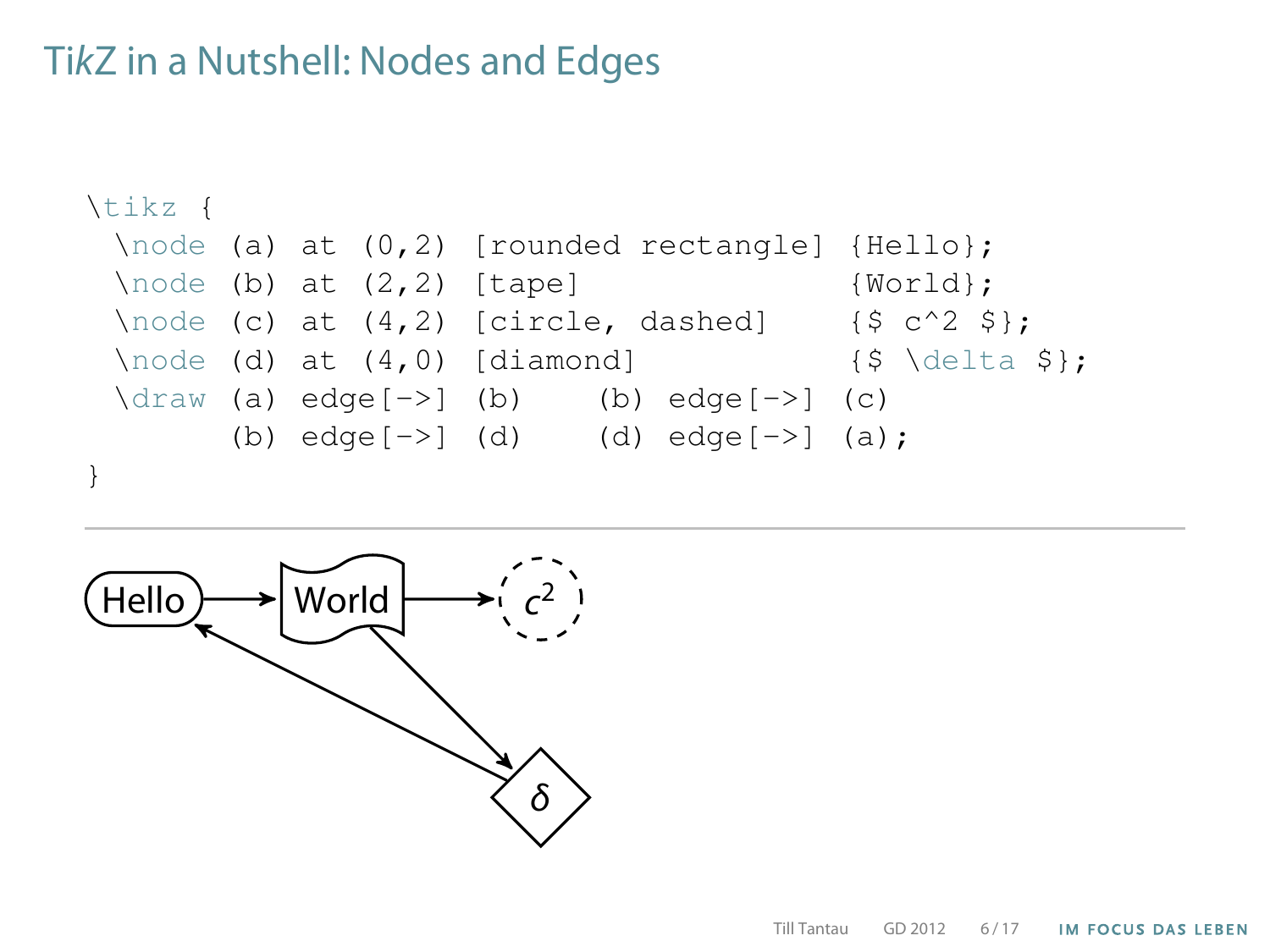#### TikZ in a Nutshell: Nodes and Edges



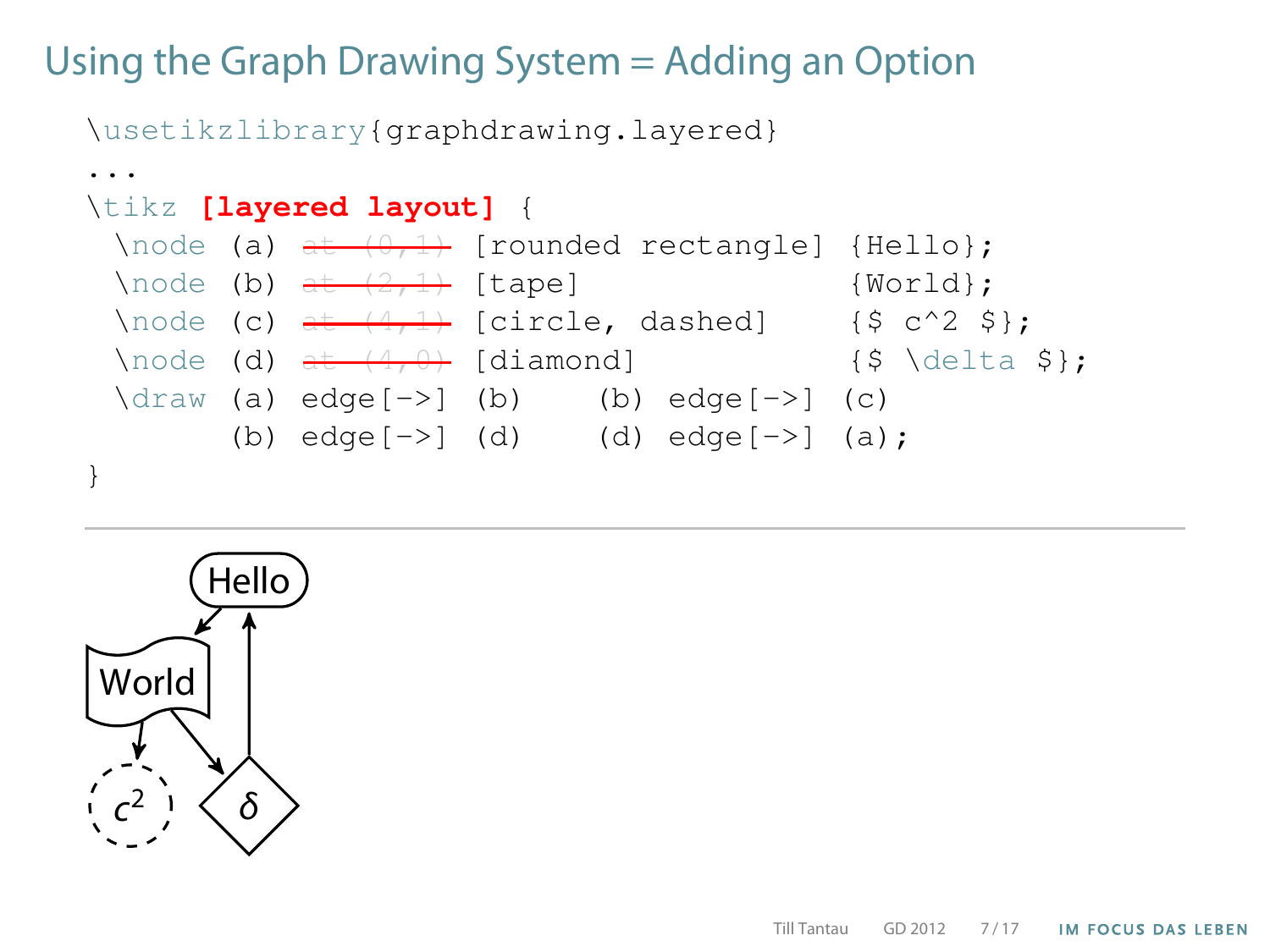# Using the Graph Drawing System = Adding an Option

\usetikzlibrary{graphdrawing.layered}

```
...
\tikz [layered layout] {
 \setminusnode (a) at (0,1) [rounded rectangle] {Hello};
 \setminusnode (b) at (2,1) [tape] {World};
 \node (c) \frac{1}{2} [circle, dashed] {$ c^2 $};
 \node (d) \frac{4}{9} [diamond] {$ \delta $};
 \langle \text{draw} (a) \text{ edge}[-\rangle] (b) \langle \text{b} \rangle edge[-\rangle] (c)
         (b) edge[->] (d) (d) edge[->] (a);
}
```
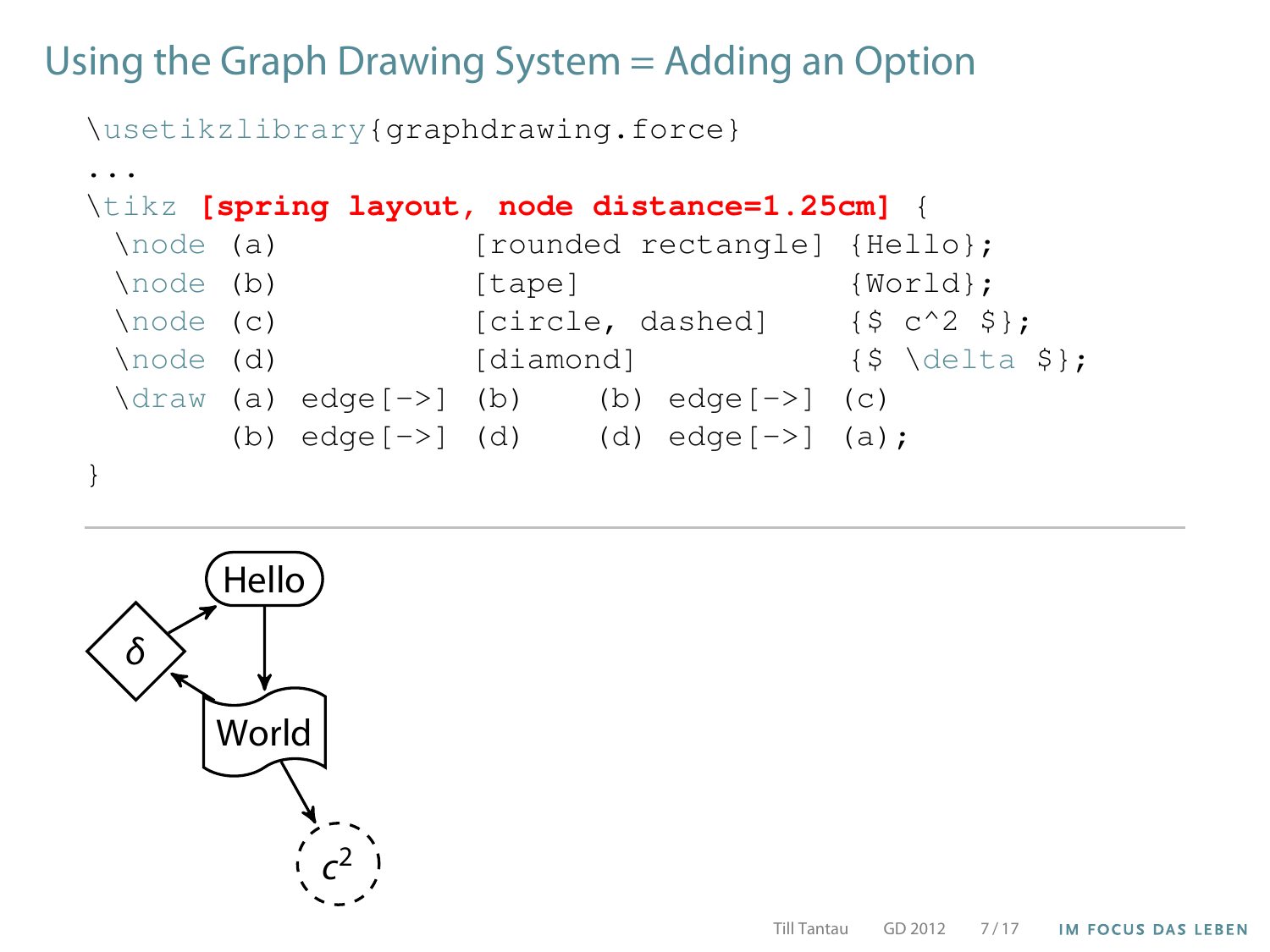# Using the Graph Drawing System = Adding an Option

\usetikzlibrary{graphdrawing.force}

```
...
\tikz [spring layout, node distance=1.25cm] {
 \node (a) [rounded rectangle] {Hello};
 \node (b) [tape] {World};
 \setminusnode (c) [circle, dashed] {$ c^2 $;\setminus \text{node} (d) \setminus [diamond] \setminus {$ \setminus delta $};
 \langle \text{draw} (a) \text{ edge}[-\rangle] (b) \langle b) \text{ edge}[-\rangle] (c)
        (b) edge[->] (d) (d) edge[->] (a);
}
```
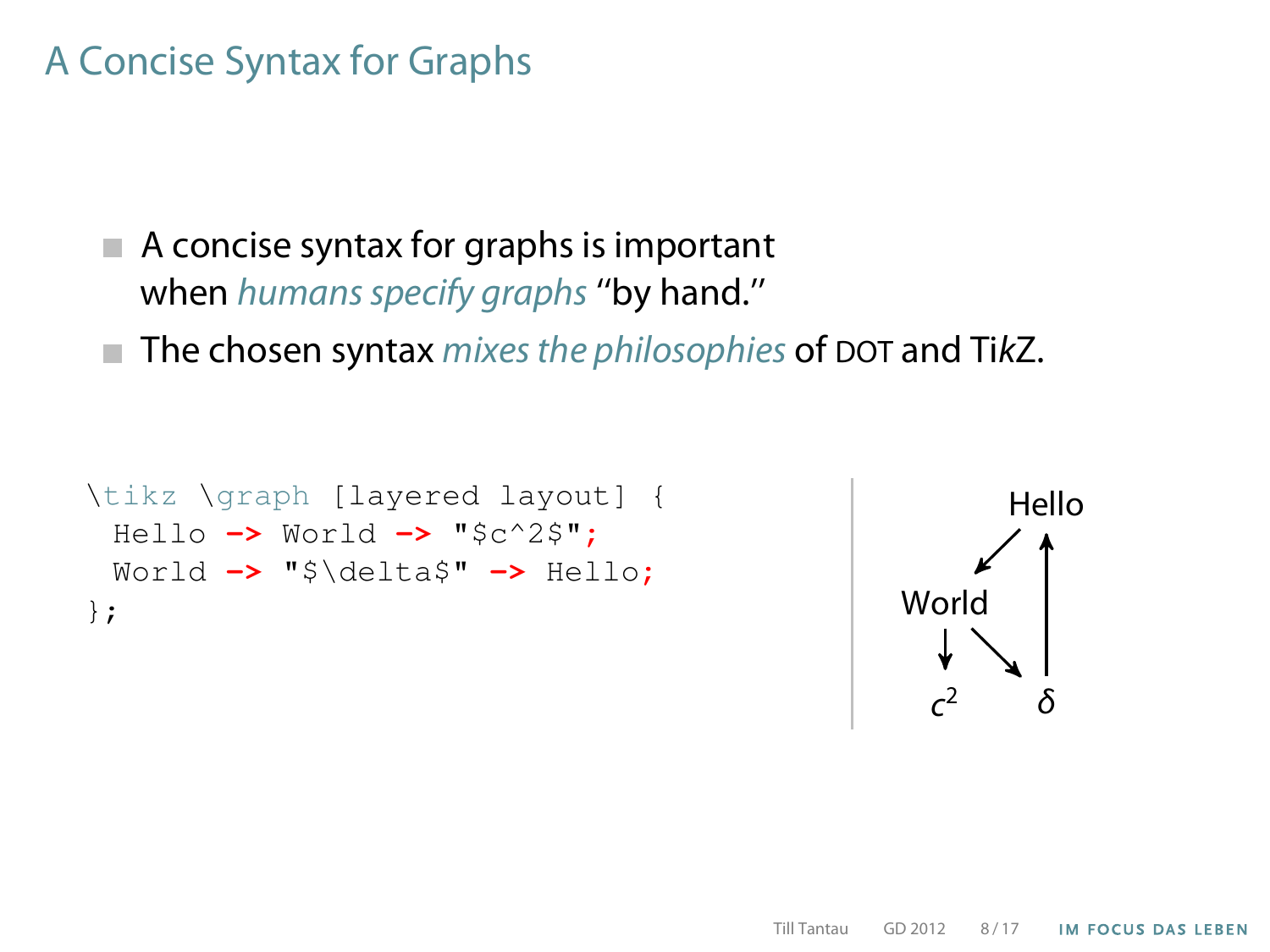# A Concise Syntax for Graphs

- $\blacksquare$  A concise syntax for graphs is important when humans specify graphs "by hand."
- $\blacksquare$  The chosen syntax mixes the philosophies of DOT and TikZ.

```
\tikz \graph [layered layout] {
 Hello -> World -> "$c^2$";
 World -> "$\delta$" -> Hello;
};
```
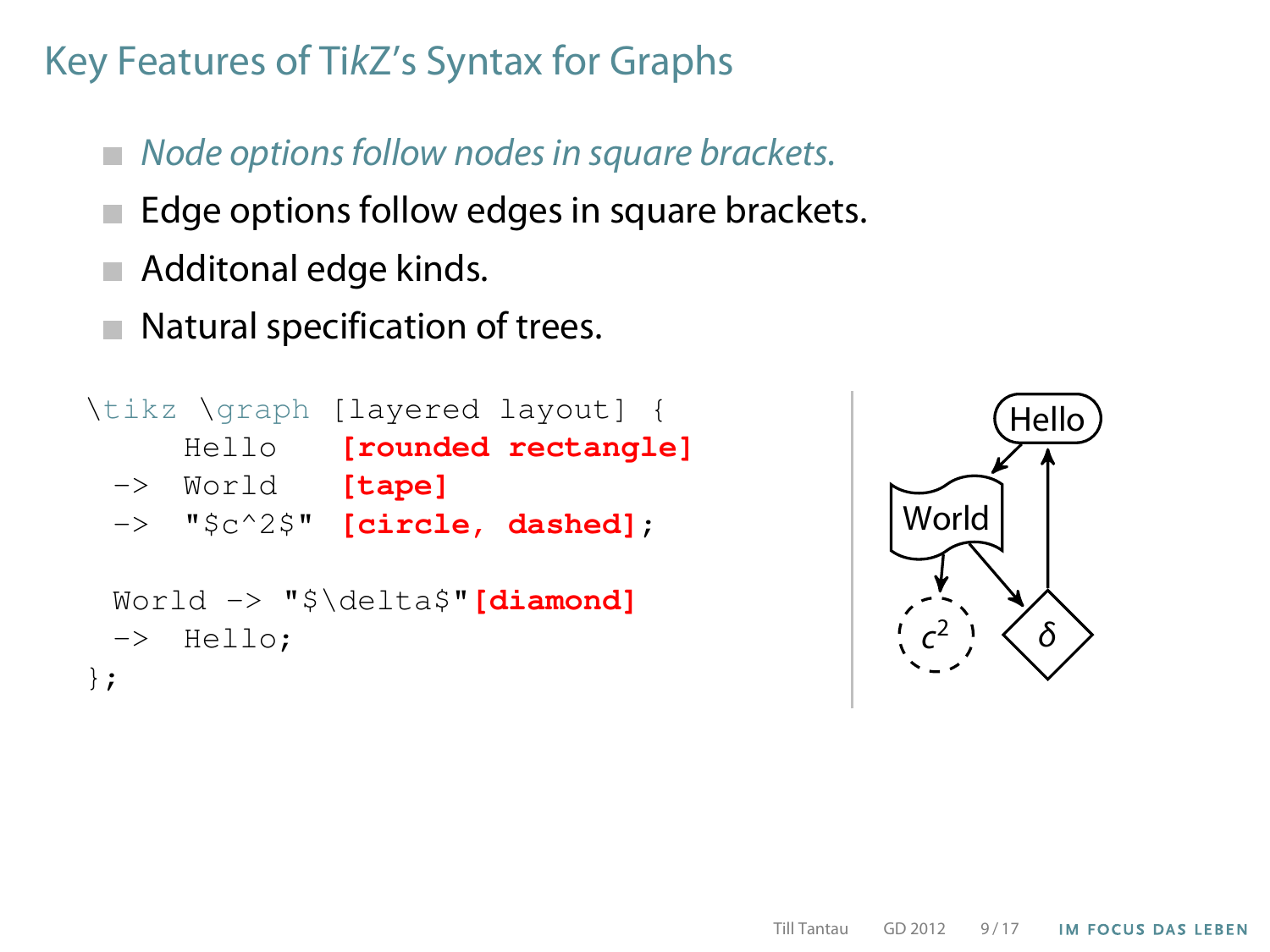- $\blacksquare$  Node options follow nodes in square brackets.
- Edge options follow edges in square brackets.
- Additonal edge kinds.
- Natural specification of trees.  $\sim$

```
\tikz \graph [layered layout] {
     Hello [rounded rectangle]
 -> World [tape]
 -> "$c^2$" [circle, dashed];
 World -> "$\delta$"[diamond]
 -> Hello;
};
```
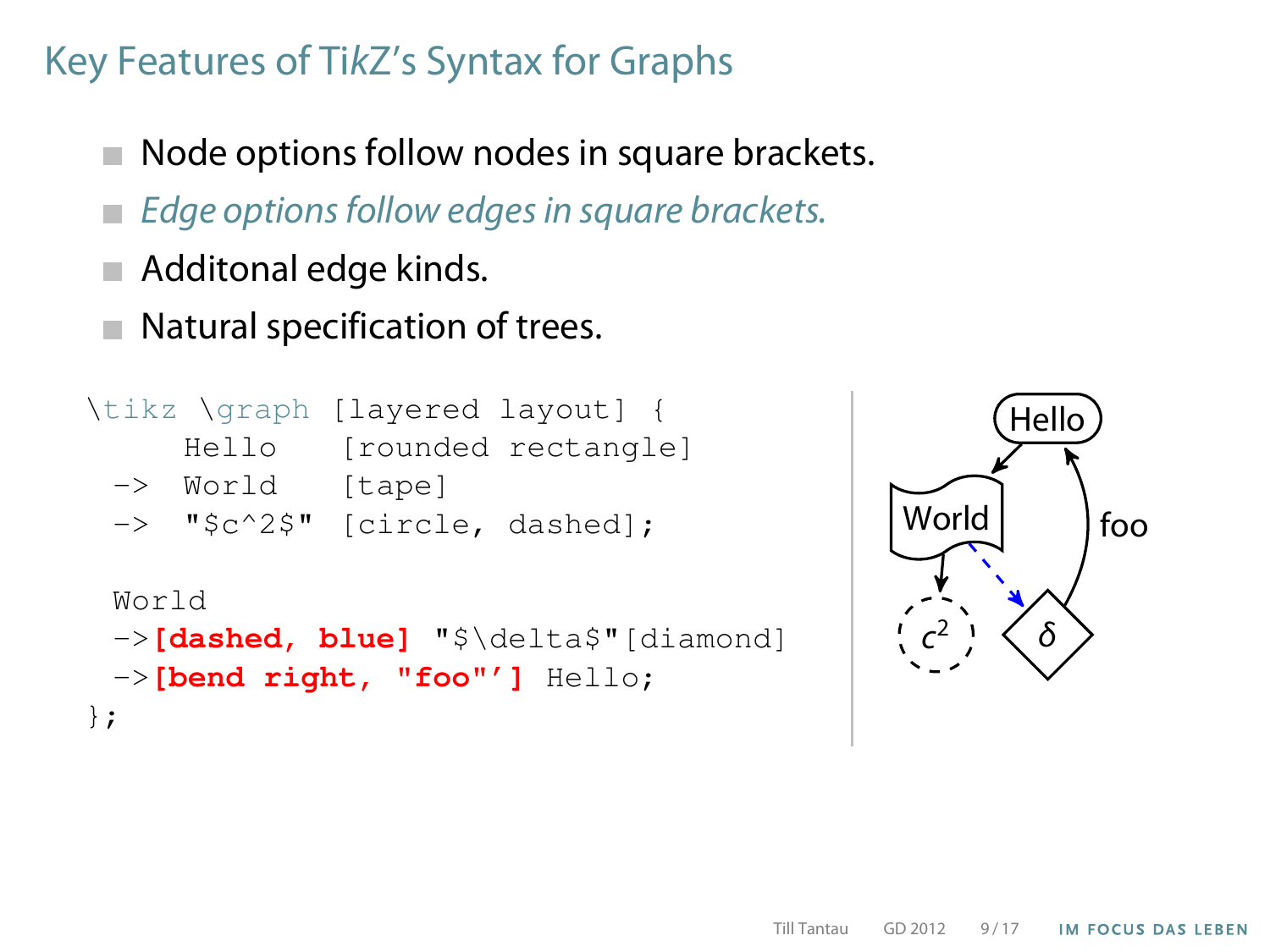- Node options follow nodes in square brackets.
- Edge options follow edges in square brackets.
- Additonal edge kinds.
- Natural specification of trees.

```
\tikz \graph [layered layout] {
     Hello [rounded rectangle]
 -> World [tape]
 -> "$c^2$" [circle, dashed];
 World
 ->[dashed, blue] "$\delta$"[diamond]
 ->[bend right, "foo"'] Hello;
};
```
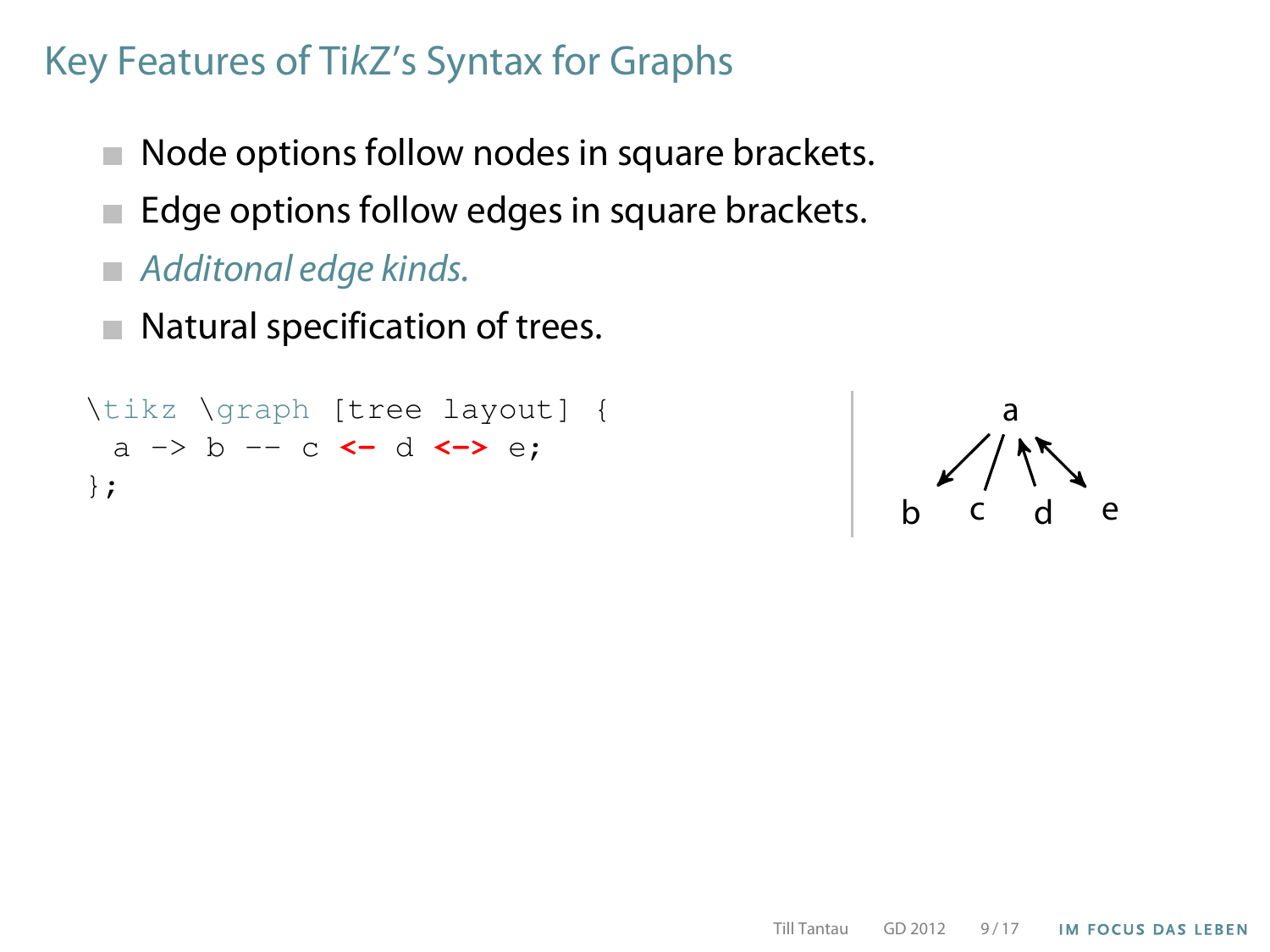- Node options follow nodes in square brackets.  $\mathcal{L}_{\mathcal{A}}$
- Edge options follow edges in square brackets.
- Additonal edge kinds.
- Natural specification of trees.  $\mathcal{L}_{\mathcal{A}}$

```
\tikz \graph [tree layout] {
 a -> b -- c <- d <-> e;
};
```
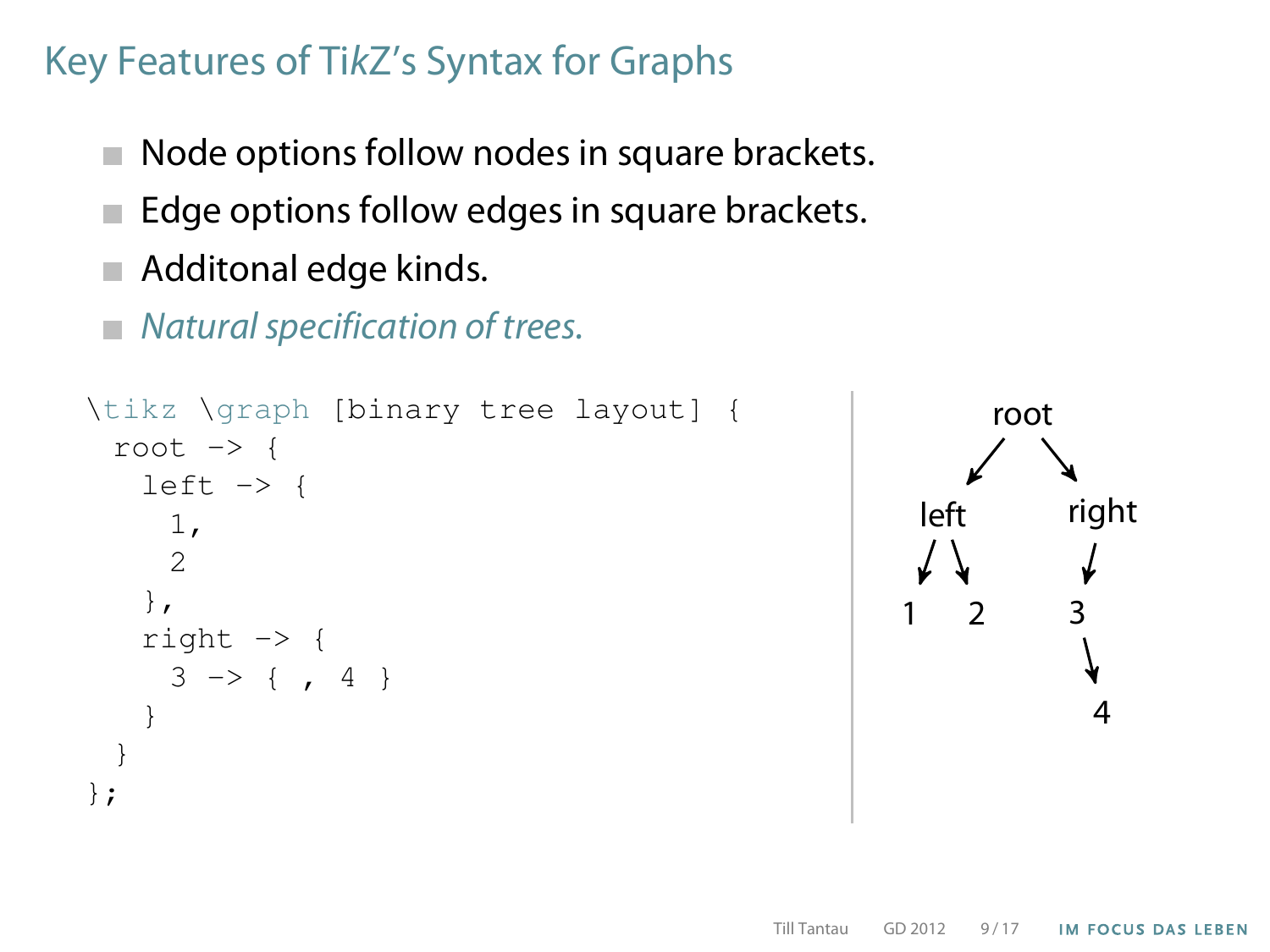- Node options follow nodes in square brackets.  $\mathcal{L}_{\mathcal{A}}$
- Edge options follow edges in square brackets.
- Additonal edge kinds.
- Natural specification of trees.

```
\tikz \graph [binary tree layout] {
  root \rightarrow {
    left \rightarrow {
      1,
      2
    },
    right -> {
      3 \rightarrow \{ , 4 \}}
  }
};
```
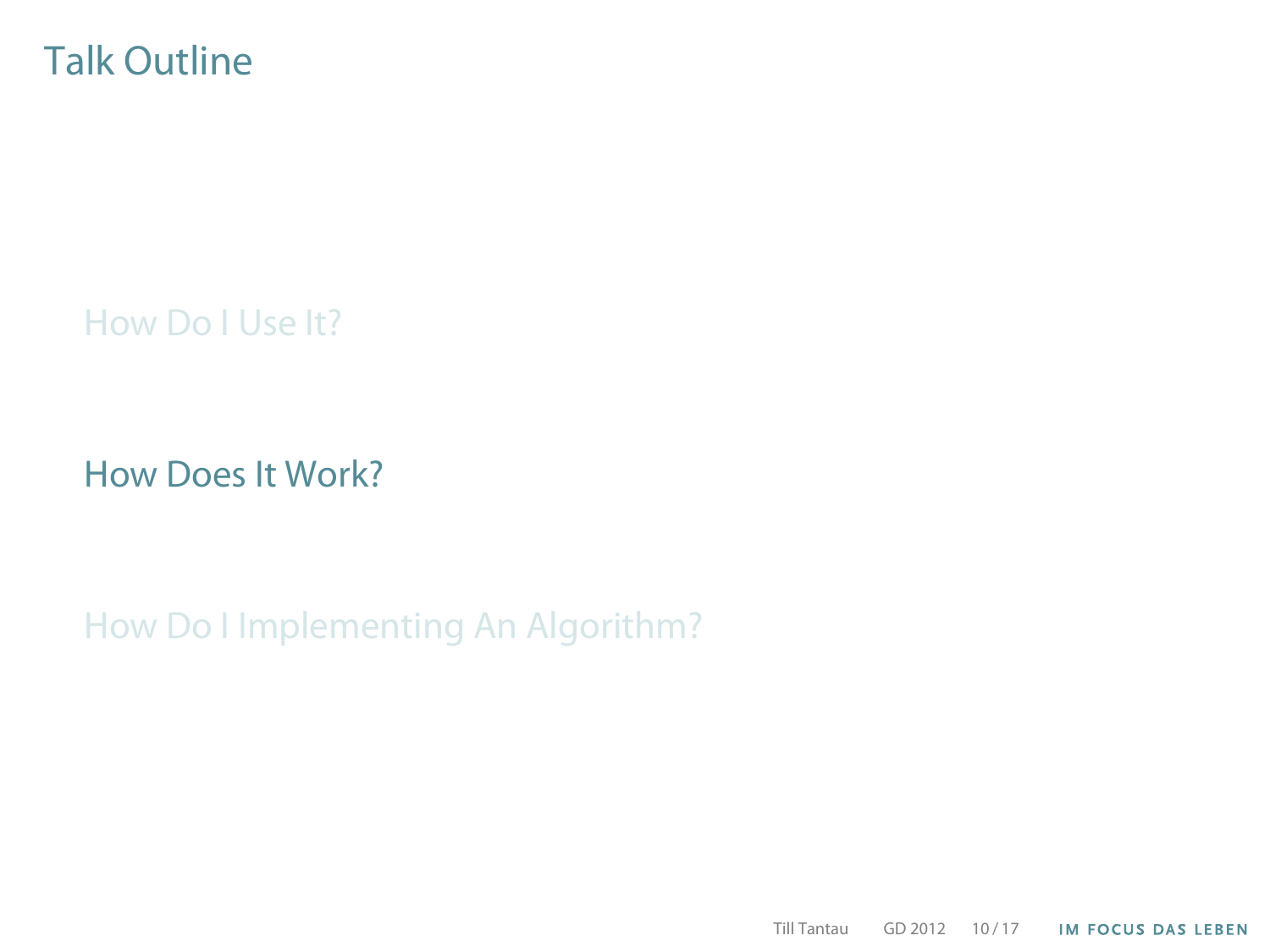#### Talk Outline

[How Do I Use It?](#page-6-0)

[How Does It Work?](#page-15-0)

[How Do I Implementing An Algorithm?](#page-18-0)

<span id="page-15-0"></span>Till Tantau GD 2012 10 / 17**IM FOCUS DAS LEBEN**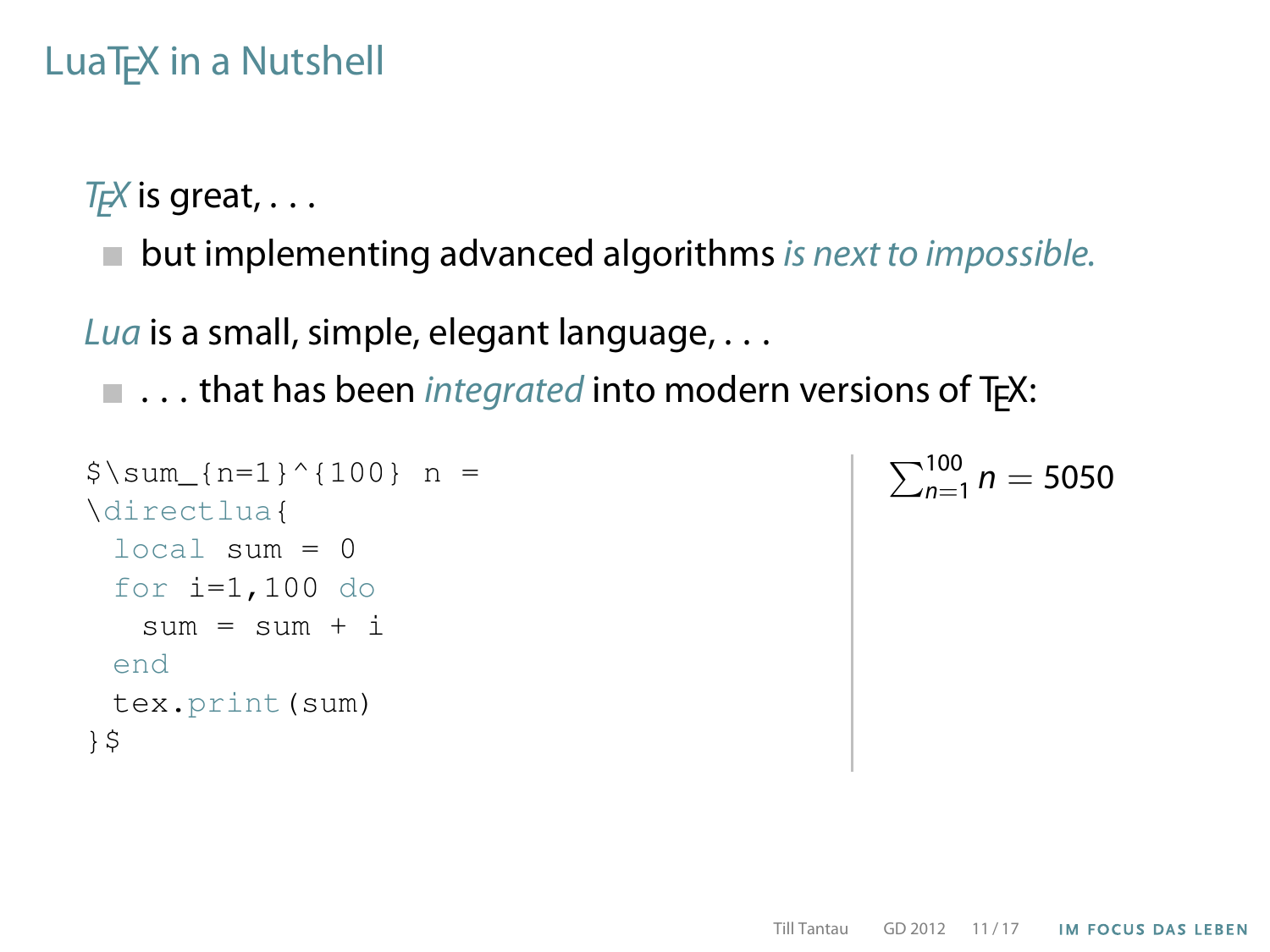# LuaT<sub>EX</sub> in a Nutshell

 $T_F X$  is great, ...

 $\blacksquare$  but implementing advanced algorithms is next to impossible.

Lua is a small, simple, elegant language, . . .

 $\blacksquare$  ... that has been *integrated* into modern versions of T<sub>E</sub>X:

```
$ \sum_{n=1}^{\infty} {100} n =
\directlua{
 local \sin m = 0for i=1,100 do
   sum = sum + iend
 tex.print(sum)
}$
```

$$
\sum_{n=1}^{100} n = 5050
$$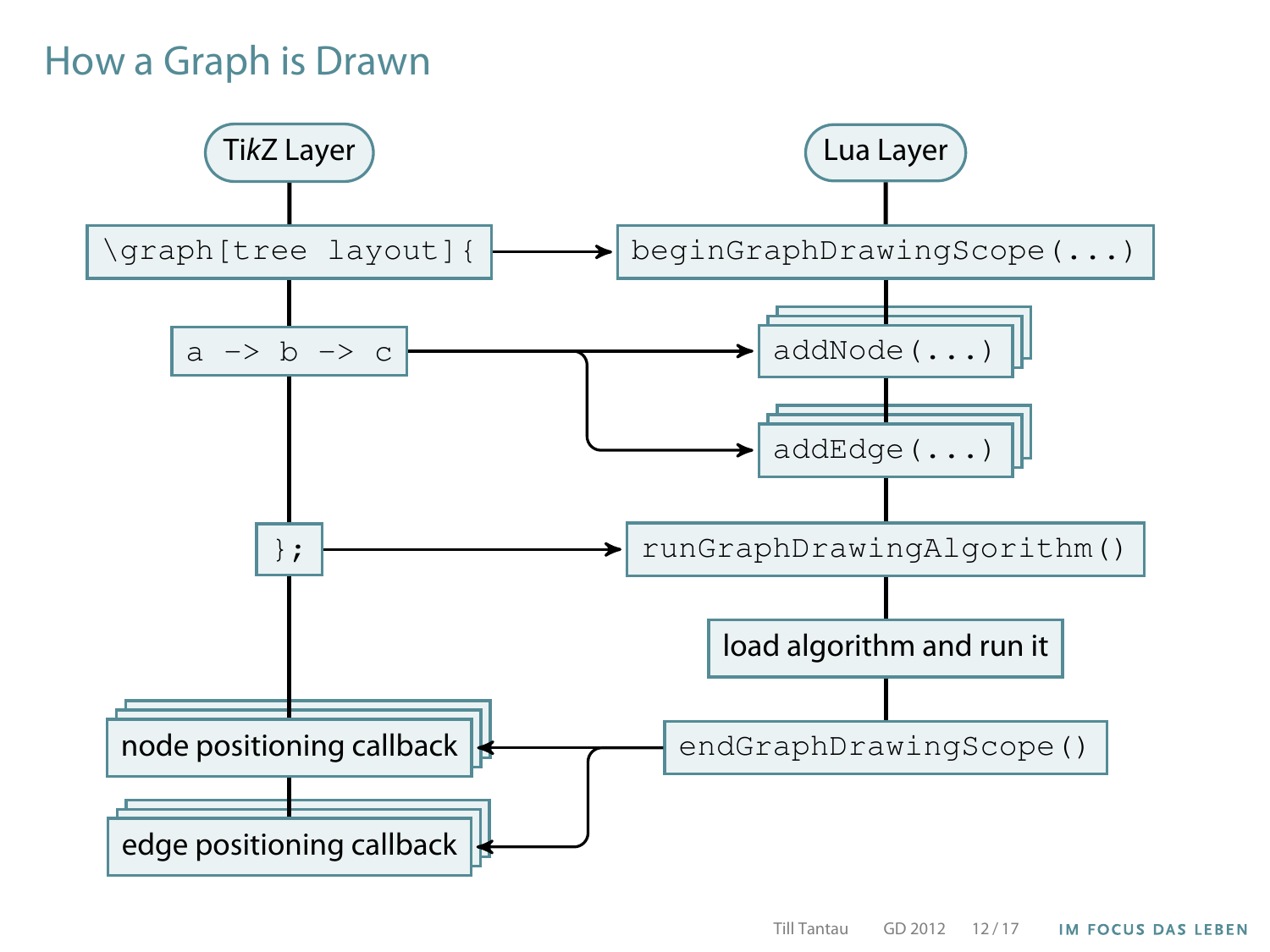# How a Graph is Drawn

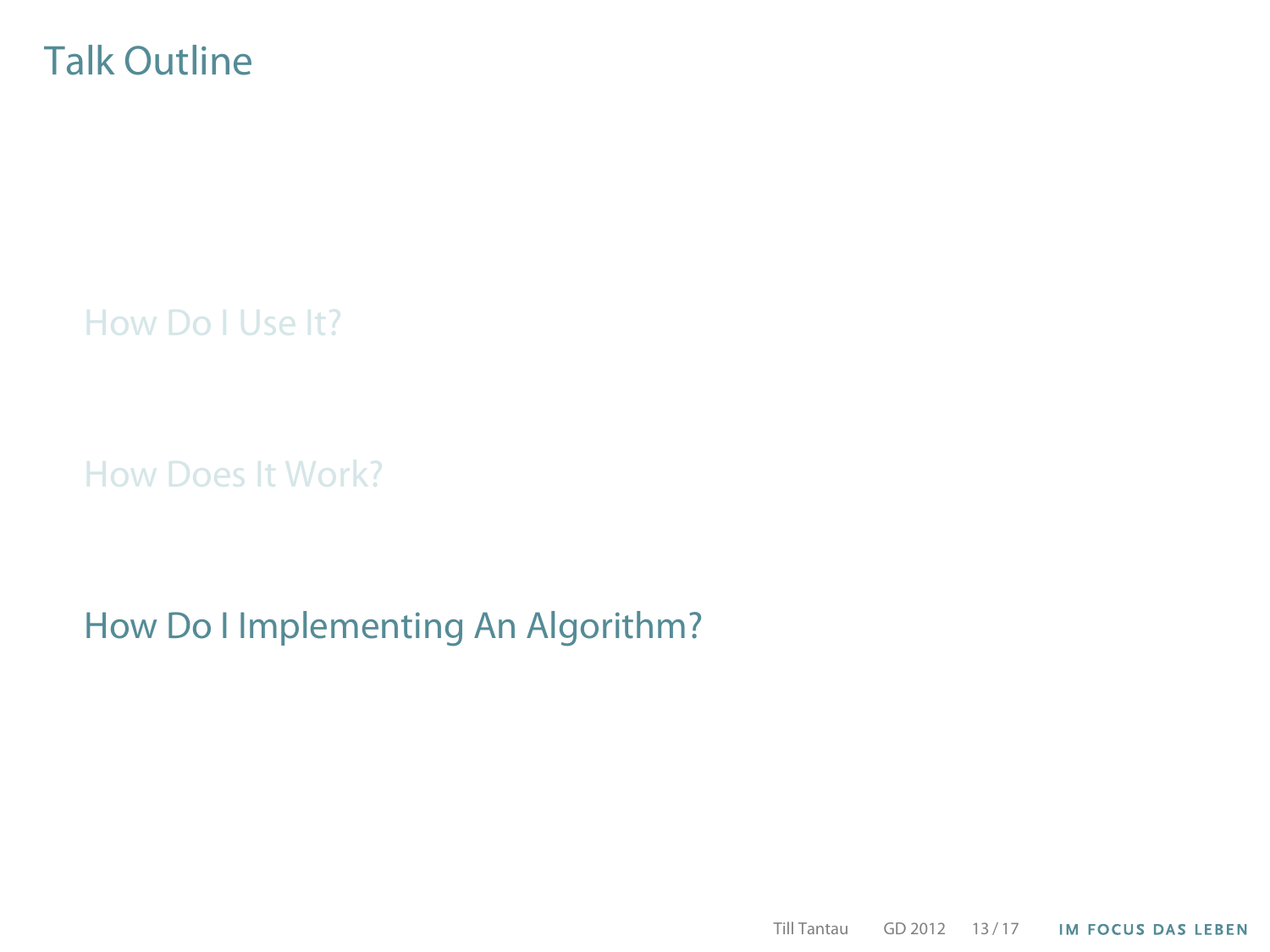#### Talk Outline

[How Do I Use It?](#page-6-0)

[How Does It Work?](#page-15-0)

[How Do I Implementing An Algorithm?](#page-18-0)

<span id="page-18-0"></span>Till Tantau GD 2012 13 / 17**IM FOCUS DAS LEBEN**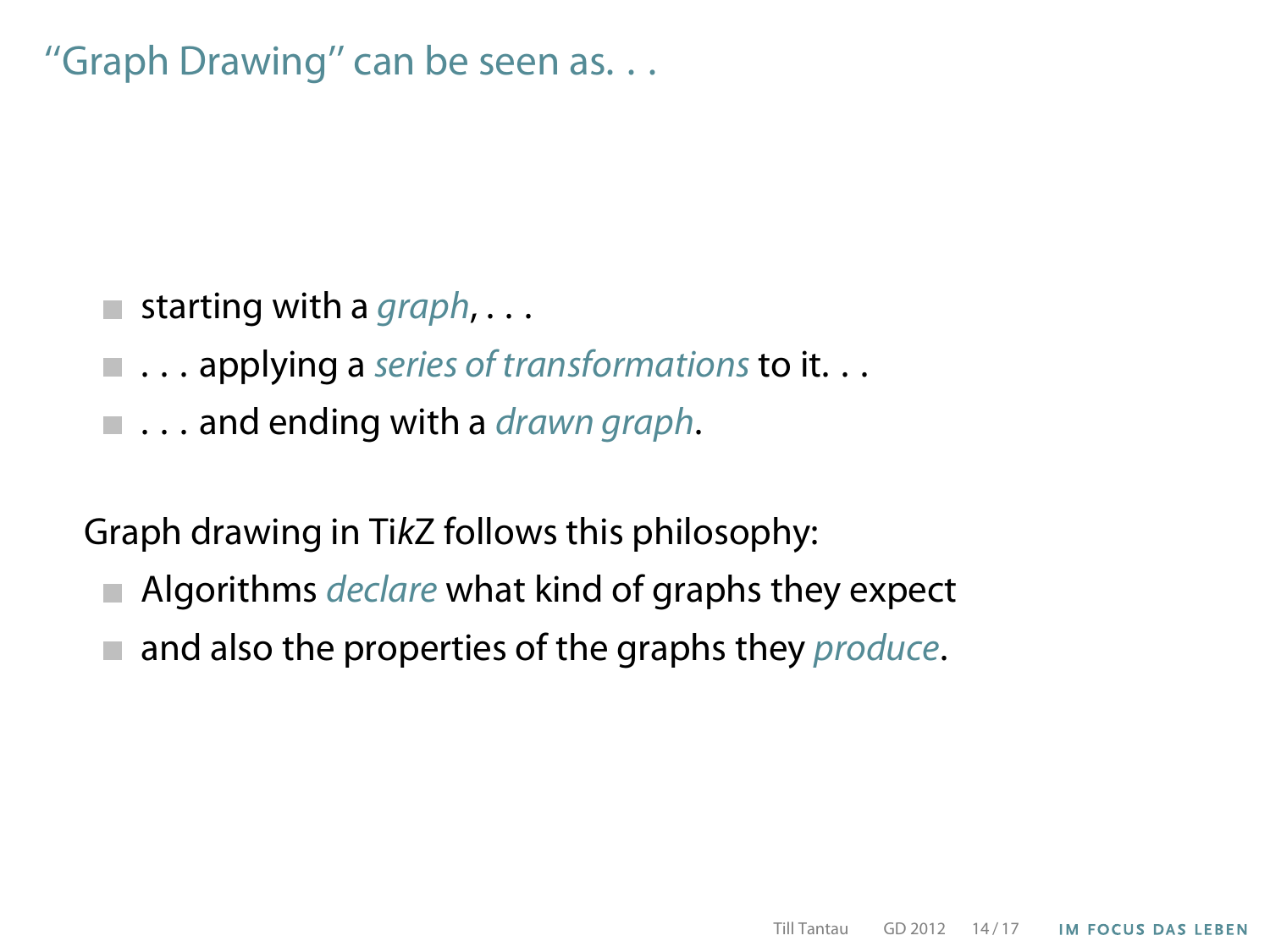''Graph Drawing'' can be seen as. . .

- **starting with a graph,...**
- $\blacksquare$  ... applying a series of transformations to it...
- $\blacksquare$ ... and ending with a *drawn graph*.

Graph drawing in TikZ follows this philosophy:

- $\blacksquare$  Algorithms *declare* what kind of graphs they expect
- $\blacksquare$  and also the properties of the graphs they produce.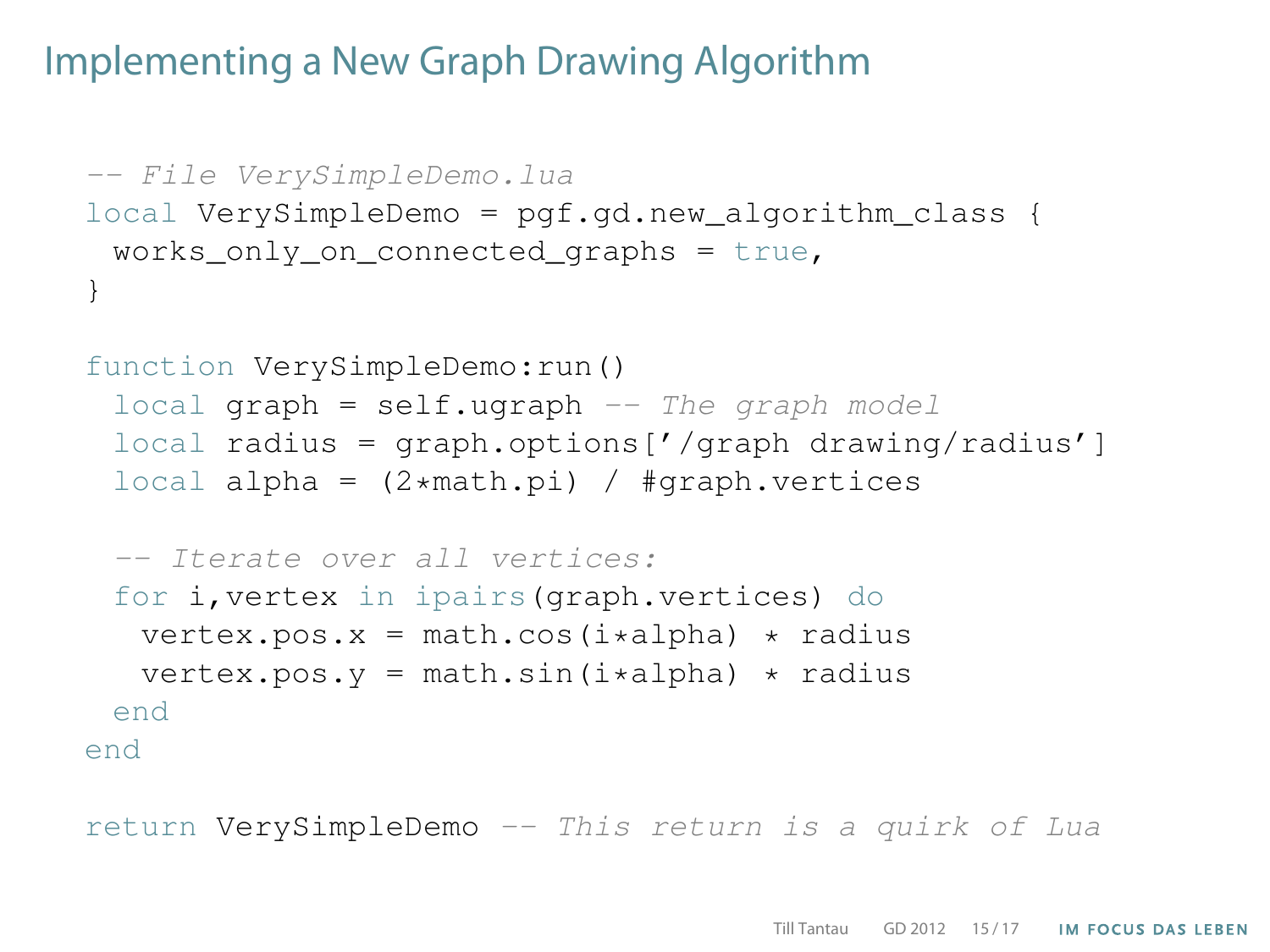#### Implementing a New Graph Drawing Algorithm

```
-- File VerySimpleDemo.lua
local VerySimpleDemo = pgf.gd.new_algorithm_class {
 works only on connected graphs = true,
}
function VerySimpleDemo:run()
 local graph = self.update - The graph modellocal radius = graph.options\frac{1}{2} / qraph drawing/radius' |
 local alpha = (2*math,pi) / *graph.vertices-- Iterate over all vertices:
 for i,vertex in ipairs(graph.vertices) do
   vertex.pos.x = \text{math.} \cos(i \cdot \alpha) \cdot \alpha radius
   vertex.pos.y = math.sin(i*alpha) * radiusend
end
```
return VerySimpleDemo -- This return is a quirk of Lua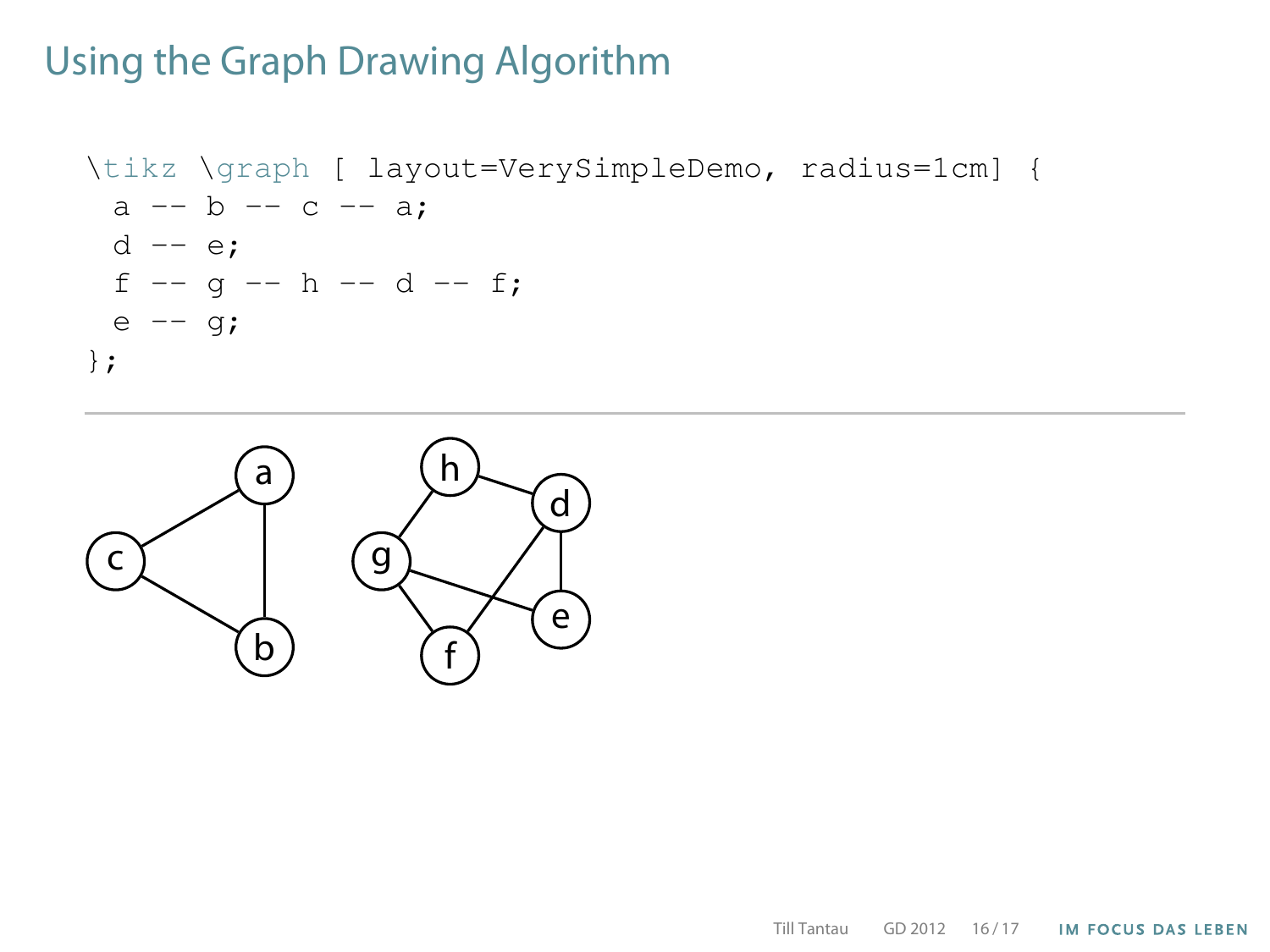\tikz \graph [ layout=VerySimpleDemo, radius=1cm] { a -- b -- c -- a; d -- e; f -- g -- h -- d -- f; e -- g; };

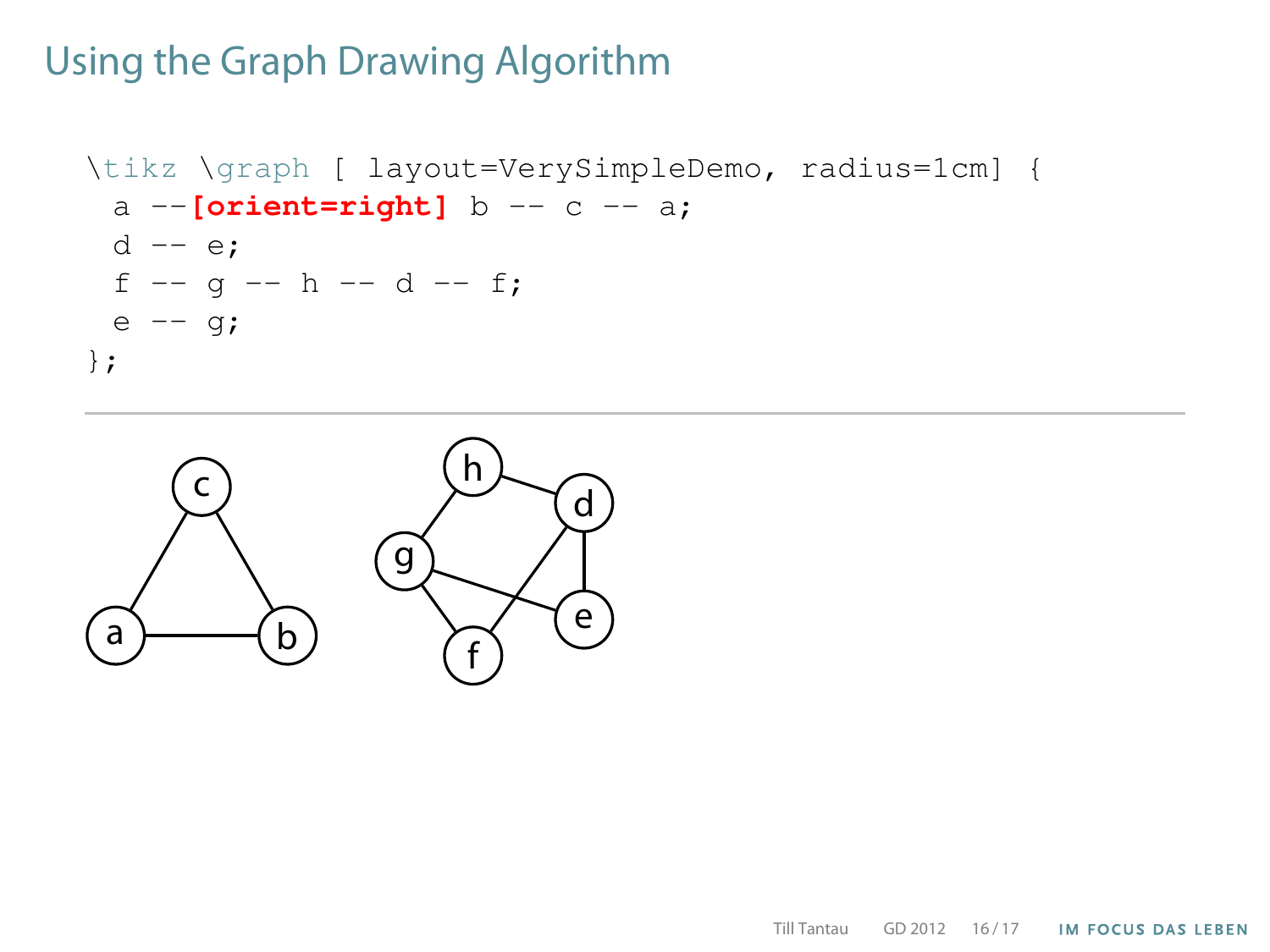```
\tikz \graph [ layout=VerySimpleDemo, radius=1cm] {
 a --[orient=right] b -- c -- a;
 d -- e;
 f - - q - - h - - d - - f;e -- q;
};
```
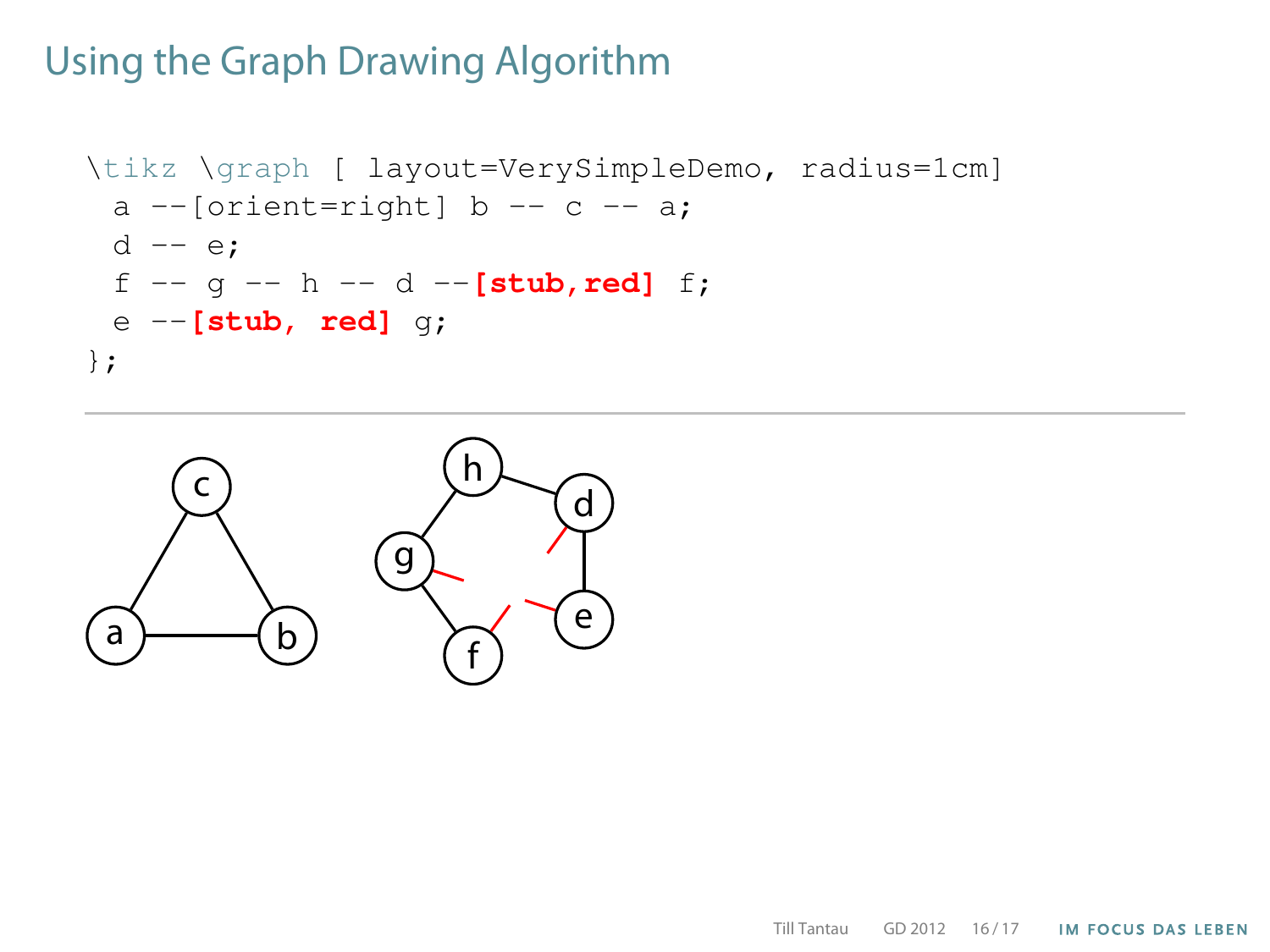```
\tikz \graph [ layout=VerySimpleDemo, radius=1cm]
 a --[orient=right] b -- c -- a;
 d -- e;
 f -- g -- h -- d --[stub,red] f;
 e --[stub, red] g;
};
```
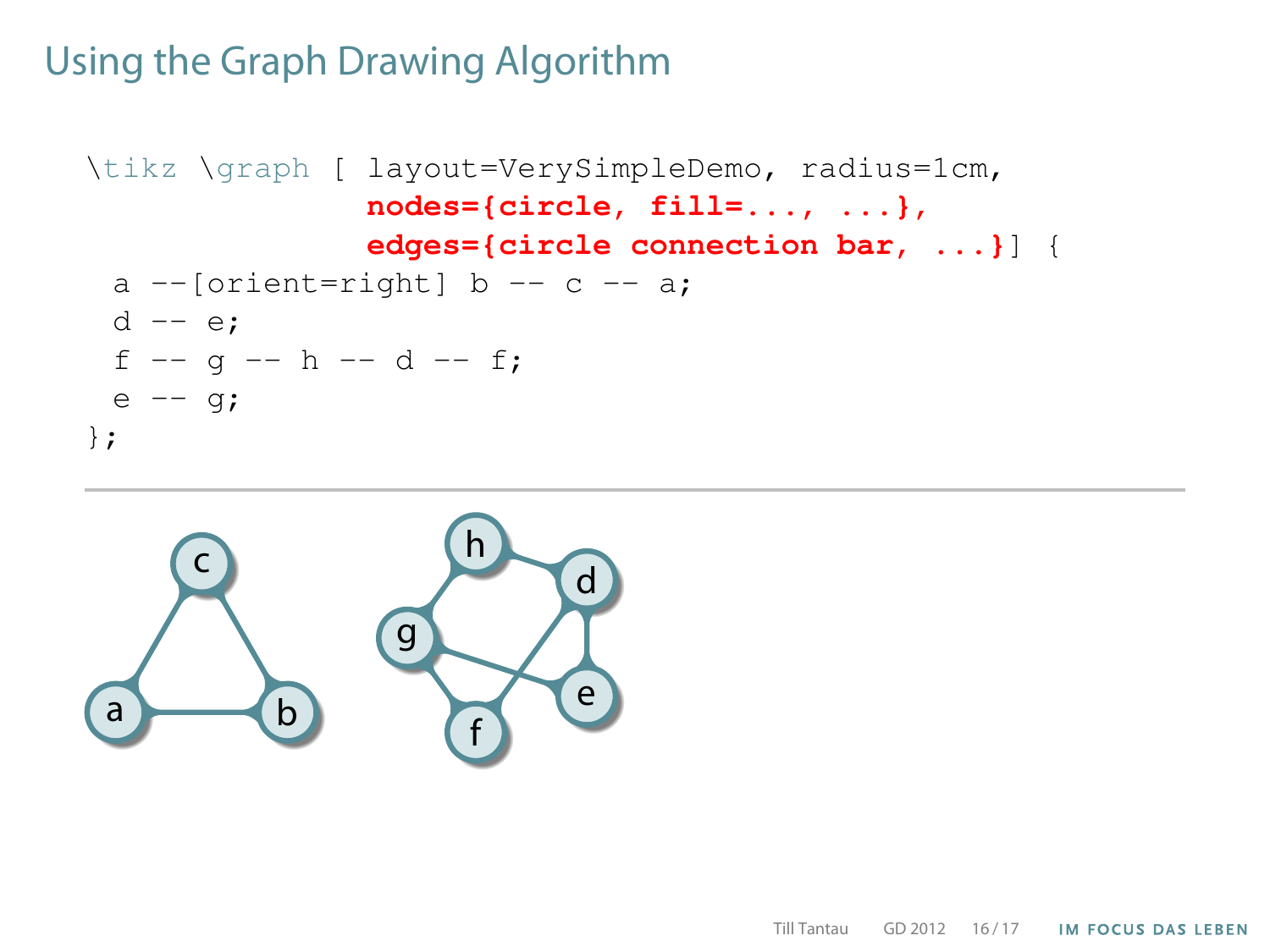```
\tikz \graph [ layout=VerySimpleDemo, radius=1cm,
               nodes={circle, fill=..., ...},
               edges={circle connection bar, ...}] {
 a --[orient=right] b -- c -- a;
 d -- e;
 f - - g - - h - - d - - f;e -- q;
};
```